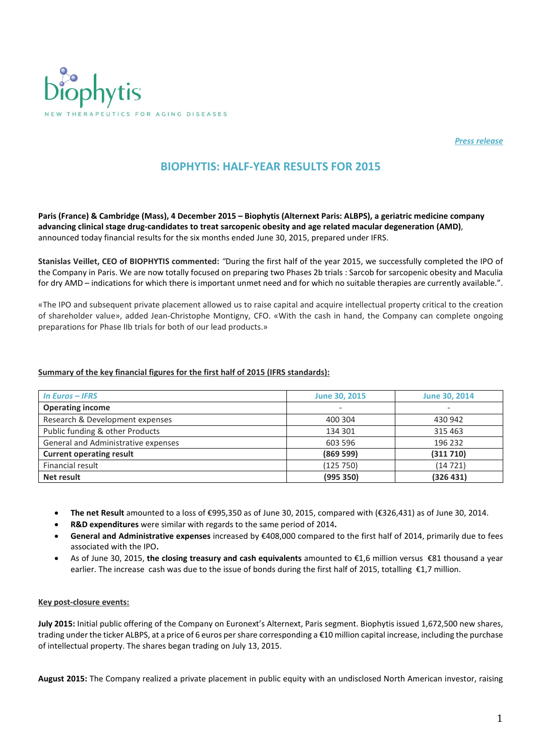

*Press release* 

## BIOPHYTIS: HALF-YEAR RESULTS FOR 2015

Paris (France) & Cambridge (Mass), 4 December 2015 – Biophytis (Alternext Paris: ALBPS), a geriatric medicine company advancing clinical stage drug-candidates to treat sarcopenic obesity and age related macular degeneration (AMD), announced today financial results for the six months ended June 30, 2015, prepared under IFRS.

Stanislas Veillet, CEO of BIOPHYTIS commented: *"*During the first half of the year 2015, we successfully completed the IPO of the Company in Paris. We are now totally focused on preparing two Phases 2b trials : Sarcob for sarcopenic obesity and Maculia for dry AMD – indications for which there is important unmet need and for which no suitable therapies are currently available.".

«The IPO and subsequent private placement allowed us to raise capital and acquire intellectual property critical to the creation of shareholder value», added Jean-Christophe Montigny, CFO. «With the cash in hand, the Company can complete ongoing preparations for Phase IIb trials for both of our lead products.»

## Summary of the key financial figures for the first half of 2015 (IFRS standards):

| In Euros $-$ IFRS                   | <b>June 30, 2015</b>     | June 30, 2014 |
|-------------------------------------|--------------------------|---------------|
| <b>Operating income</b>             | $\overline{\phantom{a}}$ |               |
| Research & Development expenses     | 400 304                  | 430 942       |
| Public funding & other Products     | 134 301                  | 315 463       |
| General and Administrative expenses | 603 596                  | 196 232       |
| <b>Current operating result</b>     | (869 599)                | (311710)      |
| Financial result                    | (125750)                 | (14721)       |
| Net result                          | (995 350)                | (326 431)     |

- The net Result amounted to a loss of €995,350 as of June 30, 2015, compared with (€326,431) as of June 30, 2014.
- R&D expenditures were similar with regards to the same period of 2014.
- General and Administrative expenses increased by €408,000 compared to the first half of 2014, primarily due to fees associated with the IPO.
- As of June 30, 2015, the closing treasury and cash equivalents amounted to €1,6 million versus €81 thousand a year earlier. The increase cash was due to the issue of bonds during the first half of 2015, totalling €1,7 million.

## Key post-closure events:

July 2015: Initial public offering of the Company on Euronext's Alternext, Paris segment. Biophytis issued 1,672,500 new shares, trading under the ticker ALBPS, at a price of 6 euros per share corresponding a €10 million capital increase, including the purchase of intellectual property. The shares began trading on July 13, 2015.

August 2015: The Company realized a private placement in public equity with an undisclosed North American investor, raising